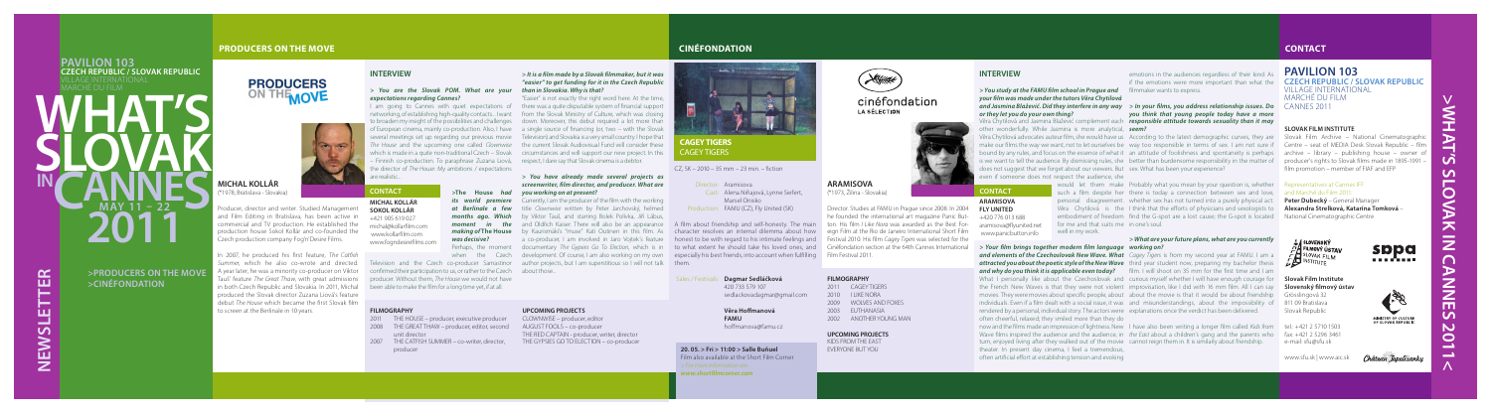#### **SLOVAK FILM INSTITUTE**

film promotion – member of FIAF and EFP



## sppa an a Canar

- 2011 THE HOUSE producer, executive producer
- 2008 THE GREAT THAW producer, editor, second unit director
- 2007 THE CATFISH SUMMER co-writer, director, producer

#### **FILMOGRAPHY**

**UPCOMING PROJECTS** CLOWNWISE – producer, editor AUGUST FOOLS – co-producer

THE RED CAPTAIN - producer, writer, director THE GYPSIES GO TO ELECTION – co-producer

#### **INTERVIEW**

#### *> You are the Slovak POM. What are your expectations regarding Cannes?*

– Finnish co-production. To paraphrase Zuzana Liová, respect, I dare say that Slovak cinema is a debtor. the director of *The House*: My ambitions / expectations are realistic...

*>***The House** *had* 

*moment in* 

I am going to Cannes with quiet expectations of there was a quite disputable system of financial support networking, of establishing high-quality contacts... Iwant from the Slovak Ministry of Culture, which was closing to broaden my insight of the possibilities and challenges down. Moreover, this debut required a lot more than of European cinema, mainly co-production. Also, I have a single source of financing (or, two – with the Slovak several meetings set up regarding our previous movie Television) and Slovakia is a very small country. I hope that *The House* and the upcoming one called *Clownwise*  the current Slovak Audiovisual Fund will consider these which is made in a quite non-traditional Czech – Slovak circumstances and will support our new project. In this "Easier" is not exactly the right word here. At the time,

*was decisive?*

confirmed their participation to us, or rather to the Czech about those... producer. Without them, *The House* we would not have been able to make the film for a long time yet, if at all.

#### *> It is a film made by a Slovak filmmaker, but it was "easier" to get funding for it in the Czech Republic than in Slovakia. Why is that?*

would let them make Probably what you mean by your question is, whether Representatives at Cannes IFF such a film despite her there is today a connection between sex and love, and Marché du Film 2011: personal disagreement. whether sex has not turned into a purely physical act. **Peter Dubecký** – General Manager Věra Chytilová is the Ithink that the efforts of physicians and sexologists to **Alexandra Strelková, Katarína Tomková** – embodiment of freedom find the G-spot are a lost cause; the G-spot is located National Cinematographic Centre for me and that suits me in one's soul. well in my work.

*and elements of the Czechoslovak New Wave. What Cagey Tigers* is from my second year at FAMU. I am a attracted you about the poetic style of the New Wave third year student now, preparing my bachelor thesis *and why do you think it is applicable even today?* film. I will shoot on 35 mm for the first time and I am What I personally like about the Czechoslovak and curious myself whether I will have enough courage for the French New Waves is that they were not violent improvisation, like I did with 16 mm film. All I can say individuals. Even if a film dealt with a social issue, it was and misunderstandings, about the impossibility of 811 09 Bratislava

now and the films made an impression of lightness. New I have also been writing a longer film called *Kids from*  tel.: +421 2 5710 1503 Wave films inspired the audience and the audience, in *the East* about a children's gang and the parents who fax: +421 2 5296 3461

#### *> You have already made several projects as screenwriter, film director, and producer. What are you working on at present?*

#### **INTERVIEW**

#### *> You study at the FAMU film school in Prague and*  filmmaker wants to express. *your film was made under the tutors Věra Chytilová or they let you do your own thing?*

# **>PRODUCERS ON THE MOVE >CINÉFONDATION in CANNES**<br>2011

other wonderfully. While Jasmina is more analytical, *seem?* does not suggest that we forget about our viewers. But sex. What has been your experience? even if someone does not respect the audience, she

2011 CAGEY TIGERS WOLVES AND FOXES ANOTHER YOUNG MAN

2010 I LIKE NORA **FUTHANASIA** 

#### *and Jasmina Blažević. Did they interfere in any way > In your films, you address relationship issues. Do*  Cannes 2011 Věra Chytilová and Jasmina Blažević complement each *responsible attitude towards sexuality than it may you think that young people today have a more*

Věra Chytilová advocates auteur film, she would have us According to the latest demographic curves, they are Slovak Film Archive – National Cinematographic make our films the way we want, not to let ourselves be way too responsible in terms of sex. I am not sure if Centre – seat of MEDIA Desk Slovak Republic – film bound by any rules, and focus on the essence of what it an attitude of foolishness and spontaneity is perhaps archive – library – publishing house – owner of is we want to tell the audience. By dismissing rules, she better than burdensome responsibility in the matter of producer's rights to Slovak films made in 1895-1991 –

**>What's Slovak** E  $\overline{a}$ **S** 不 **in Cannes 2011<** N<br>N m  $\overline{a}$  $\bullet$ 

movies. They were movies about specific people, about about the movie is that it would be about friendship rendered by a personal, individual story. The actors were explanations once the verdict has been delivered. often cheerful, relaxed; they smiled more than they do turn, enjoyed living after they walked out of the movie cannot reign them in. It is similarly about friendship. theater. In present day cinema, I feel a tremendous, often artificial effort at establishing tension and evoking

**Newsletter**

**NEWSI** 

ய

ш

 $SL$ 

## **PRODUCERS** ON THE MOVE



*> Your film brings together modern film language working on?*

emotions in the audiences regardless of their kind: As if the emotions were more important than what the

*its world premiere*  Currently, I am the producer of the film with the working *at Berlinale a few*  title *Clownwise* written by Peter Jarchovský, helmed *months ago. Which*  by Viktor Tauš, and starring Bolek Polívka, Jiří Lábus, making of The House by Kaurismäki's "muse" Kati Outinen in this film. As character resolves an internal dilemma about how eign Film at the Rio de Janeiro International Short Film Perhaps, the moment documentary The Gypsies Go To Election, which is in to what extent he should take his loved ones, and Cinéfondation section at the 64th Cannes International when the Czech development. Of course, I am also working on my own especially his best friends, into account when fulfilling Film Festival 2011. Television and the Czech co-producer Samastinor author projects, but I am superstitious so I will not talk them.

## *> What are your future plans, what are you currently*

**MICHAL KOLLÁR** (\*1978, Bratislava - Slovakia)

Producer, director and writer. Studied Management and Film Editing in Bratislava, has been active in commercial and TV production. He established the production house Sokol Kollár and co-founded the Czech production company Fog'n'Desire Films.

In 2007, he produced his first feature, *The Catfish Summer*, which he also co-wrote and directed. A year later, he was a minority co-producer on Viktor Tauš' feature *The Great Thaw*, with great admissions in both Czech Republic and Slovakia. In 2011, Michal produced the Slovak director Zuzana Liová's feature debut *The House* which became the first Slovak film to screen at the Berlinale in 10 years.

#### **PRODUCERS ON THE MOVE**

## **ARAMISOVA**

(\*1973, Žilina - Slovakia)

Director. Studies at FAMU in Prague since 2008. In 2004 he founded the international art magazine Panic But-

#### **FILMOGRAPHY**

**UPCOMING PROJECTS** KIDS FROM THE EAST EVERYONE BUT YOU

#### **Contact**

## (HHKKK)

#### cinéfondation **LA SÉLECTION**



#### **Slovak Film Institute Slovenský filmový ústav**

Grösslingová 32 Slovak Republic

e-mail: sfu@sfu.sk





www.sfu.sk | www.aic.sk

CZ, SK – 2010 – 35 mm – 23 min. – fiction

#### Director: Aramisova Cast: Alena Niňajová, Lynne Siefert, Marsel Onisko Production: FAMU (CZ), Fly United (SK)

and Oldřich Kaiser. There will also be an appearance A film about friendship and self-honesty. The main ton. His film *I Like Nora* was awarded as the Best Fora co-producer, I am involved in Jaro Vojtek's feature honest to be with regard to his intimate feelings and Festival 2010. His film *Cagey Tigers* was selected for the

#### Sales / Festivals: **Dagmar Sedláčková**

| 420 733 579 107            |  |
|----------------------------|--|
| sedlackovadagmar@gmail.com |  |

 **Věra Hoffmanová FAMU**

hoffmanova@famu.cz

| 2009 |
|------|
| 2003 |
| 2002 |
|      |

**20. 05. > Fri > 11:00 > Salle Buñuel**  Film also available at the Short Film Corner *www.shortfilmcorner.com*



**CAGEY TIGERS** CAGEY TIGERS

**May 11 – 22**

# **What's Pavilion 103 Czech Republic / Slovak Republic**

### **Pavilion 103 Czech Republic / Slovak Republic** Village International Marché du Film

**Contact Aramisova**

#### **Fly United** +420 776 013 688 aramisova@flyunited.net

www.panicbutton.info

#### **Contact**

**Michal Kollár Sokol Kollár** +421 905 619 027 michal@kollarfilm.com www.kollarfilm.com www.fogndesirefilms.com

#### **CINÉFONDATION**